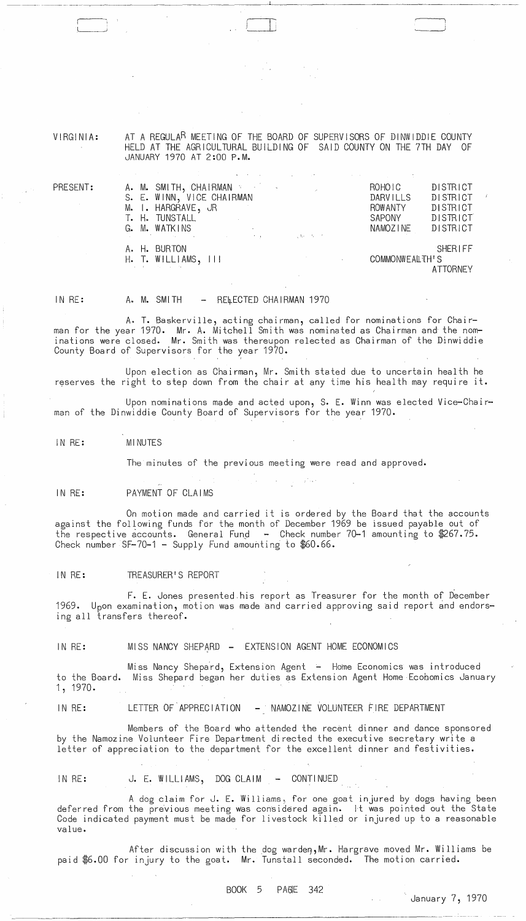VIRGINIA:

AT A REGULA<sup>R</sup> MEETING OF THE BOARD OF SUPERVISORS OF DINWIDDIE COUNTY HELD AT THE AGRICULTURAL BUILDING OF SAID COUNTY ON THE 7TH DAY OF JANUARY 1970 AT 2:00 P.M.

\ j

| PRESENT: | A. M. SMITH, CHAIRMAN<br>S. E. WINN, VICE CHAIRMAN<br>M. I. HARGRAVE, JR<br>T. H. TUNSTALL<br>G. M. WATKINS<br>$G.$ M. WATKINS |  | ROHOIC<br><b>DARVILLS</b><br><b>ROW ANTY</b><br>SAPONY<br>NAMOZINE | <b>DISTRICT</b><br><b>DISTRICT</b><br>DISTRICT<br><b>DISTRICT</b><br>DISTRICT |
|----------|--------------------------------------------------------------------------------------------------------------------------------|--|--------------------------------------------------------------------|-------------------------------------------------------------------------------|
|          | A. H. BURTON<br>$H.$ T. WILLIAMS, $111$<br>design and the state of the state of the                                            |  | COMMONWEALTH'S                                                     | <b>SHERIFF</b><br><b>ATTORNEY</b>                                             |

--- "------,~-~-------------------''------~~---~~~~~~----

IN RE: A. M. SMITH - RELECTED CHAIRMAN 1970

A. T. Baskerville, acting chairman, called for nominations for Chairman for the year 1970. Mr. A. Mitchell Smith was nominated as Chairman and the nominations were closed. Mr. Smith was thereupon relected as Chairman of the Dinwiddie County Board of Supervisors for the year 1970.

Upon election as Chairman, Mr. Smith stated due to uncertain health he reserves the right to step down from the chair at any time his health may require it.

Upon nominations made and acted upon, S. E. Winn was elected Vice-Chairman of the Dinwiddie County Board of Supervisors for the year 1970.

IN RE: MINUTES

The minutes of the previous meeting were read and approved.

IN RE: PAYMENT OF CLAIMS

On motion made and carried it is ordered by the Board that the accounts against the fOllowing funds for the month of December 1969 be issued payable out of the respective accounts. General Fund - Check number 70-1 amounting to \$267.75. Check number SF-70-1 - Supply Fund amounting to \$60.66.

IN RE: TREASURER'S REPORT

F. E. Jones presented,his report as Treasurer for the month of December 1969. Upon examination, motion was made and carried approving said report and endorsing all transfers thereof.

IN RE: MISS NANCY SHEPARD - EXTENSION AGENT HOME ECONOMICS

to the Board. Miss Shepard began her duties as Extension Agent Home Ecobomics January 1,1970. Miss Nancy Shepard, Extension Agent - Home Economics was introduced

IN RE: LETTER OF APPRECIATION - NAMOZINE VOLUNTEER FIRE DEPARTMENT

Members of the Board who attended the recent dinner and dance sponsored by the Namozine Volunteer Fire Department directed the executive secretary write a letter of appreciation to the department for the excellent dinner and festivities.

IN RE: J. E. WILLIAMS, DOG CLAIM - CONTINUED

A dog claim for J. E. Williams, for one goat injured by dogs having been deferred from the previous meeting Was considered again. It was pointed out the State Code indicated payment must be made for livestock killed or injured up to a reasonable value.

After discussion with the dog warden, Mr. Hargrave moved Mr. Williams be paid \$6.00 for injury to the goat. Mr. Tunstall seconded. The motion carried.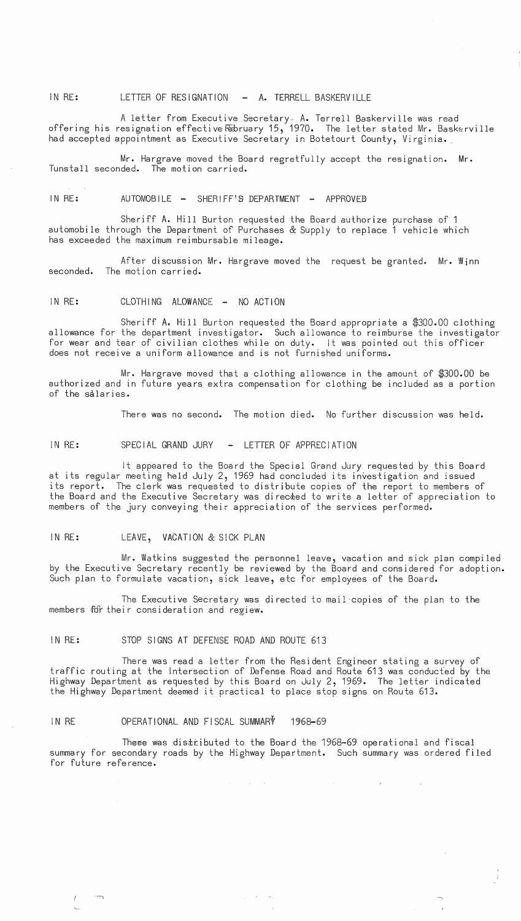IN RE: LETTER OF RESIGNATION - A. TERRELL BASKERVILLE

A letter from Executive Secretary. A. Terrell Baskerville was read offering his resignation effective February 15, 1970. The letter stated Mr. Baskerville had accepted appointment as Executive Secretary in Botetourt County, Virginia.\_

Mr. Hargrave moved the Board regretfully accept the resignation. Mr. Tunstall seconded. The motion carried.

IN RE: AUTOMOBILE - SHERIFF'S DEPARTMENT - APPROVED

Sheriff A. Hill Burton requested the Board authorize purchase of 1 automobile through the Department of Purchases & Supply to replace 1 vehicle which has exceeded the maximum reimbursable mileage.

After discussion Mr. Hargrave moved the request be granted. Mr. Winn seconded. The motion carried.

IN RE: CLOTHING ALOWANCE - NO ACTION

Sheriff A. Hill Burton requested the Board appropriate a \$300.00 clothing allowance for the department investigator. Such allowance to reimburse the investigator for wear and tear of civilian clothes while on duty. It was pointed out this officer does not receive a uniform allowance and is not furnished uniforms.

Mr. Hargrave moved that a clothing allowance in the amount of \$300.00 be authorized and in future years extra compensation for clothing be included as a portion of the salaries.

There was no second. The motion died. No further discussion was held.

IN RE: SPECIAL GRAND JURY - LETTER OF APPRECIATION

It appeared to the Board the Special Grand Jury requested by this Board at its regular meeting held July 2, 1969 had concluded its investigation and issued its report. The clerk was requested to distribute copies of the report to members of the Board and the Executive Secretary was directed to write a letter of appreciation to members of the jury conveying their appreciation of the services performed.

IN RE: LEAVE, VACATION & SICK PLAN

Mr. Watkins suggested the personnel leave, vacation and sick plan compiled by the Executive Secretary recently be reviewed by the Board and considered for adoption. Such plan to formulate vacation, sick leave, etc for employees of the Board.

The Executive Secretary was directed to mail copies of the plan to the members for their consideration and regiew.

IN RE: STOP SIGNS AT DEFENSE ROAD AND ROUTE 613

There was read a letter from the Resident Engineer stating a survey of traffic routing at the Intersection of Defense Road and Route 613 was conducted by the Highway Department as requested by this Board on July 2, 1969. The letter indicated the Highway Department deemed it practical to place stop signs on Route 613.

# IN RE OPERATIONAL AND FISCAL SUMMARY 1968-69

There was distributed to the Board the 1968-69 operational and fiscal summary for secondary roads by the Highway Department. Such summary was ordered filed for future reference •

 $\mathcal{L}_{\text{max}}$  and  $\mathcal{L}_{\text{max}}$  are the set of the set of the set of  $\mathcal{L}_{\text{max}}$  and  $\mathcal{L}_{\text{max}}$ 

. The contract of the contract of the contract of the contract of the contract of the contract of the contract of the contract of the contract of the contract of the contract of the contract of the contract of the contrac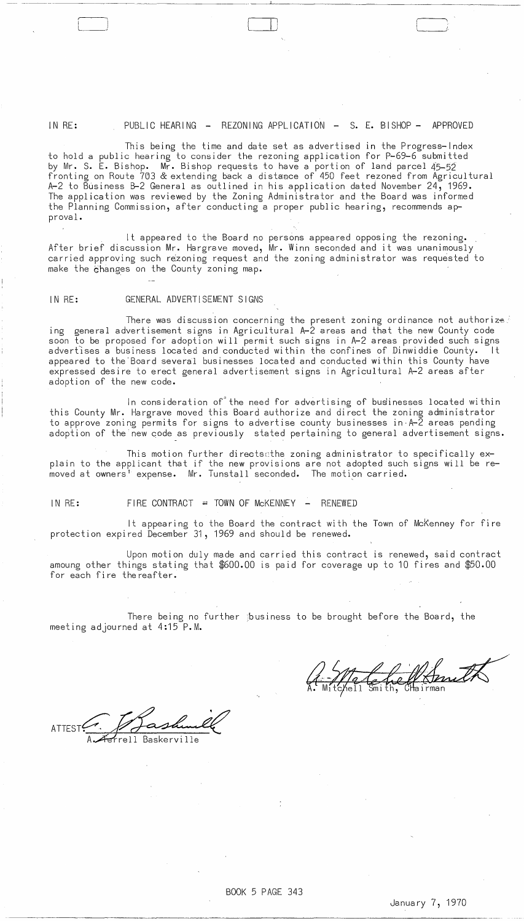#### IN RE: PUBLIC HEARING - REZONING APPLICATION - S. E. BISHOP - APPROVED

This being the time and date set as advertised in the Progress-Index to hold a public hearing to consider the rezoning application for P-69-6 submitted by Mr. S. E. Bishop. Mr. Bishop requests to have a portion of land parcel 45-52 fronting on Route 703 & extending back a distance of 450 feet rezoned from Agricultural A-2 to Business B-2 General as outlined in his application dated November 24, 1969. The application was reviewed by the Zoning Administrator and the Board was informed the Planning Commission, after conducting a proper public hearing, recommends approval.

It appeared to the Board no persons appeared opposing the rezoning. After brief discussion Mr. Hargrave moved, Mr. Winn seconded and it was unanimously carried approving such rezoning request and the zoning administrator was requested to make the 6hanges on the County zoning map.

## IN RE: GENERAL ADVERTISEMENT SIGNS

 $\Box$ 

There was discussion concerning the present zoning ordinance not authorized ing general advertisement signs in Agricultural A-2 areas and that the new County code soon to be proposed for adoption will permit such signs in A-2 areas provided such signs adverfises a business located and conducted within the confines of Dinwiddie County. It appeared to the Board several businesses located and conducted within this County have expressed desire to erect general advertisement signs in Agricultural A-2 areas after adoption of the new code.

In consideration of the need for advertising of businesses located within this County Mr. Hargrave moved this Board authorize and direct the zoning administrator to approve zoning permits for signs to advertise county businesses in  $A-\bar{2}$  areas pending adoption of the'new code as previously stated pertaining to general advertisement signs.

This motion further directssthe zoning administrator to specifically explain to the applicant that if the new provisions are not adopted such signs will be re- $\stackrel{\text{\scriptsize{\textsf{in}}} }{}{\text{\scriptsize{\textsf{in}}} }$  owners $\stackrel{\text{\scriptsize{\textsf{in}}}}{ }$  expense. Mr. Tunstall seconded. The motion carried.

--- ----- ---

### IN  $RE:$  FIRE CONTRACT = TOWN OF McKENNEY - RENEWED

It appearing to the Board the contract with the Town of Mckenney for fire protection expired December 31, 1969 and should be renewed.

Upon motion duly made and carried this contract is renewed, said contract amoung other things stating that \$600.00 is paid for coverage up to 10 fires and \$50.00 for each fire the reafter.

There being no further pusiness to be brought before the Board, the meeting adjourned at 4:15 P.M.